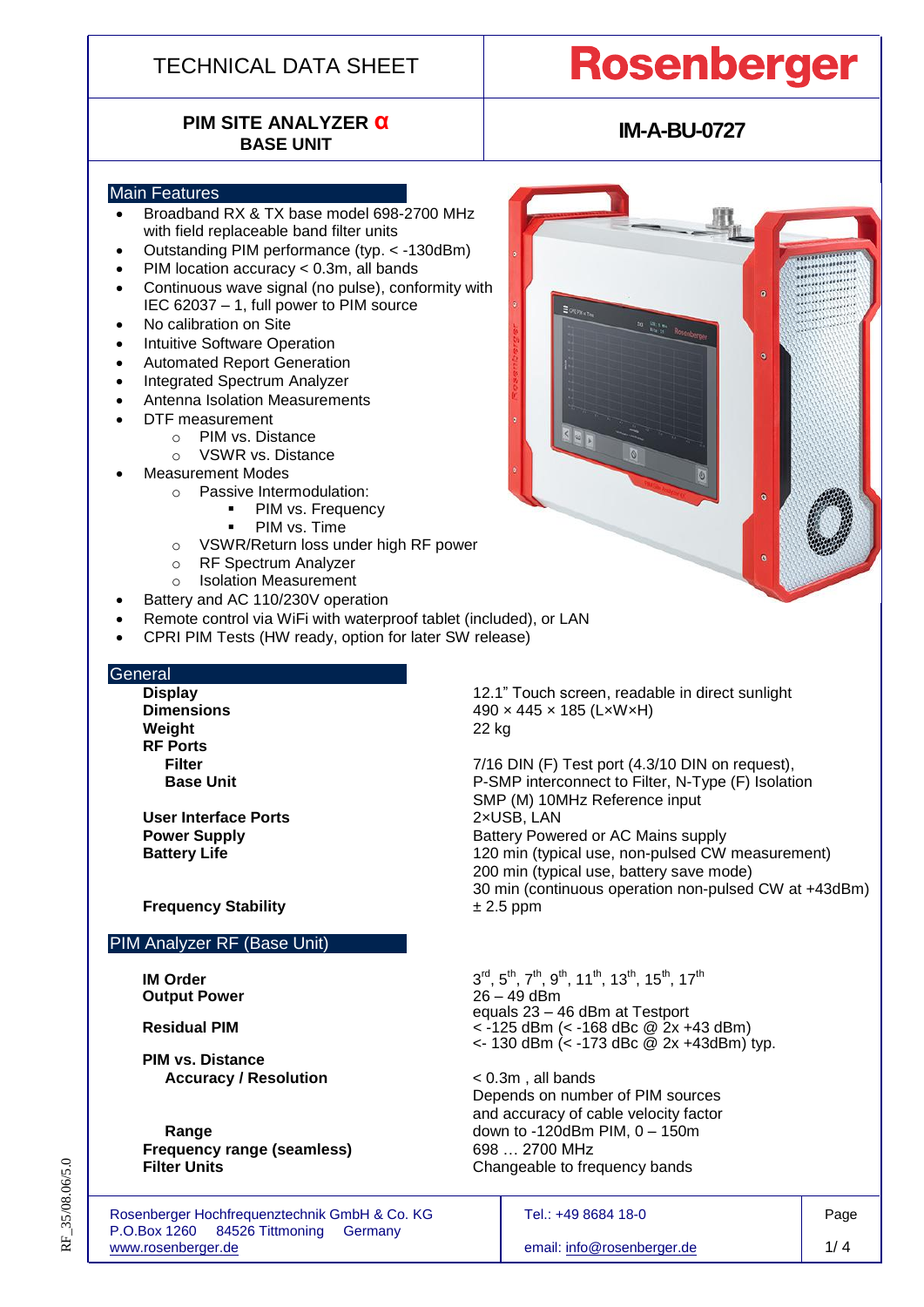## TECHNICAL DATA SHEET

# **PIM SITE ANALYZER α**

# **Rosenberger**

. . . . . . . . . . . . . . . . . . .

## **IM-A-BU-0727**

#### Main Features

- Broadband RX & TX base model 698-2700 MHz with field replaceable band filter units
- Outstanding PIM performance (typ. < -130dBm)
- PIM location accuracy < 0.3m, all bands
- Continuous wave signal (no pulse), conformity with IEC 62037 – 1, full power to PIM source
- No calibration on Site
- Intuitive Software Operation
- Automated Report Generation
- Integrated Spectrum Analyzer
- Antenna Isolation Measurements
- DTF measurement
	- o PIM vs. Distance
		- o VSWR vs. Distance
- Measurement Modes
	- o Passive Intermodulation:
		- **PIM vs. Frequency** 
			- PIM vs. Time
	- o VSWR/Return loss under high RF power
	- o RF Spectrum Analyzer
	- o Isolation Measurement
- Battery and AC 110/230V operation
- Remote control via WiFi with waterproof tablet (included), or LAN
- CPRI PIM Tests (HW ready, option for later SW release)

#### **General**

**Weight** 22 kg **RF Ports**

**User Interface Ports** 2×USB, LAN

**Frequency Stability**  $\pm 2.5$  ppm

#### PIM Analyzer RF (Base Unit)

**IM Order** 3 **Output Power** 

**PIM vs. Distance Accuracy / Resolution** < 0.3m , all bands

**Frequency range (seamless)** 698 … 2700 MHz

Rosenberger Hochfrequenztechnik GmbH & Co. KG Tel.: +49 8684 18-0 Page P.O.Box 1260 84526 Tittmoning Germany [www.rosenberger.de](http://www.rosenberger.de/) 1/4

**Display** 12.1" Touch screen, readable in direct sunlight **Dimensions** 490 x 445 x 185 (LxWxH)

**Filter** 7/16 DIN (F) Test port (4.3/10 DIN on request), **Base Unit P-SMP** interconnect to Filter, N-Type (F) Isolation SMP (M) 10MHz Reference input **Power Supply Battery Powered or AC Mains supply Battery Life** 120 min (typical use, non-pulsed CW measurement) 200 min (typical use, battery save mode) 30 min (continuous operation non-pulsed CW at +43dBm)

## $F^{rd}$ , 5<sup>th</sup>, 7<sup>th</sup>, 9<sup>th</sup>, 11<sup>th</sup>, 13<sup>th</sup>, 15<sup>th</sup>, 17<sup>th</sup> equals 23 – 46 dBm at Testport **Residual PIM** < -125 dBm (< -168 dBc @ 2x +43 dBm)  $\lt$  130 dBm  $\lt$  -173 dBc @ 2x +43dBm) typ.

Depends on number of PIM sources and accuracy of cable velocity factor **Range down to -120dBm PIM, 0 – 150m Filter Units** Changeable to frequency bands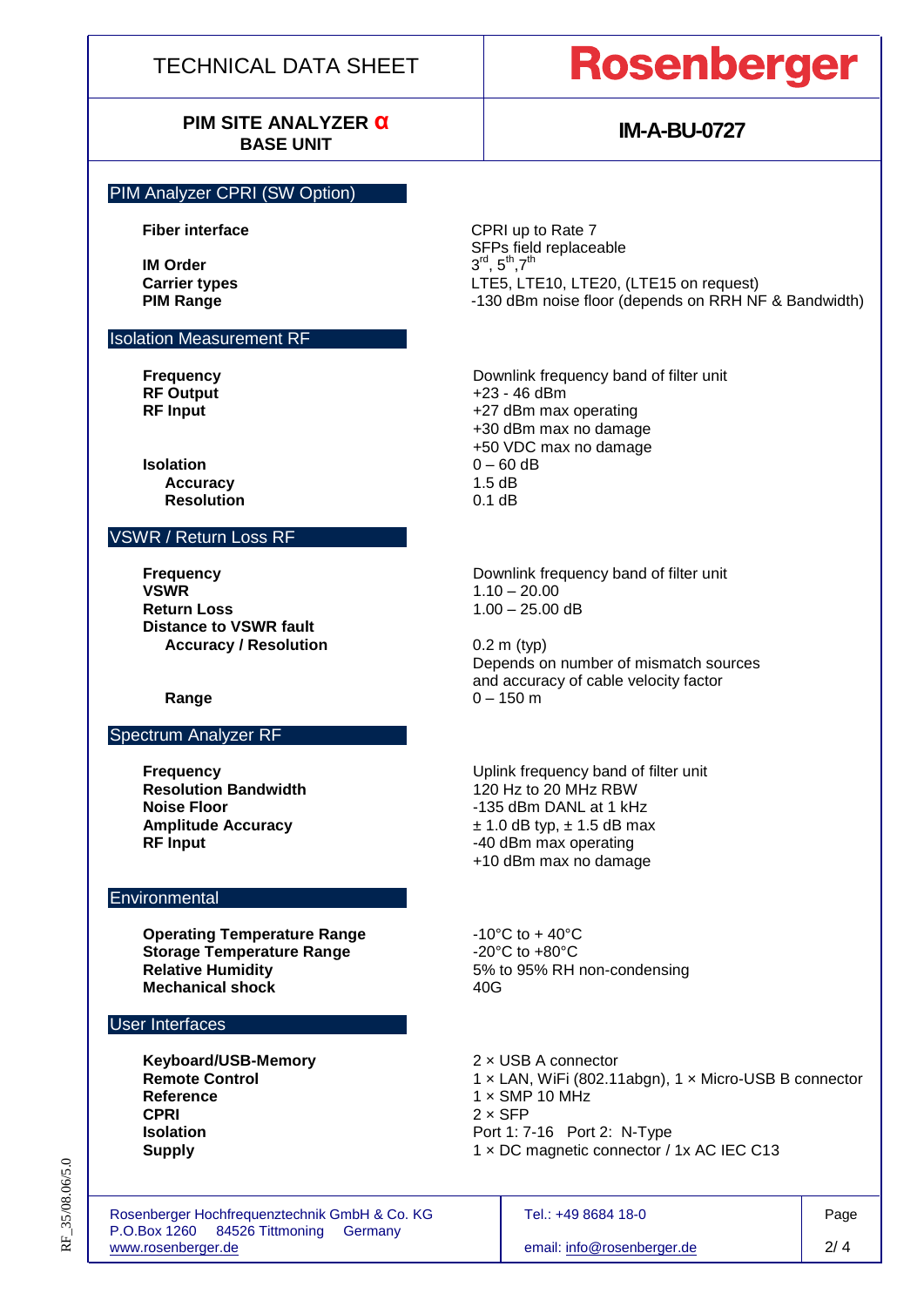## TECHNICAL DATA SHEET

# **PIM SITE ANALYZER α**

# **Rosenberger**

## **IM-A-BU-0727**

#### PIM Analyzer CPRI (SW Option)

**Fiber interface** CPRI up to Rate 7

**IM Order Carrier types** LTE5, LTE10, LTE20, (LTE15 on request) **PIM Range 130 dBm** noise floor (depends on RRH NF & Bandwidth)

Isolation Measurement RF

**Frequency Example 2** Downlink frequency band of filter unit **RF Output** +23 - 46 dBm **RF Input ALCO RF Input 1 RF** Input

**Isolation** 0 – 60 dB<br>**Accuracy** 1.5 dB **Accuracy Resolution** 0.1 dB

### VSWR / Return Loss RF

Spectrum Analyzer RF

**VSWR** 1.10 – 20.00 **Return Loss** 1.00 – 25.00 dB **Distance to VSWR fault Accuracy / Resolution** 0.2 m (typ)

+50 VDC max no damage

+30 dBm max no damage

SFPs field replaceable

 $,5^{\text{th}},7^{\text{th}}$ 

**Frequency Example 20 C** Downlink frequency band of filter unit

Depends on number of mismatch sources and accuracy of cable velocity factor **Range** 0 – 150 m

**Frequency**<br> **Resolution Bandwidth**<br> **Resolution Bandwidth**<br> **Example 120 Hz to 20 MHz RBW Resolution Bandwidth** 120 Hz to 20 MHz RBW<br> **Noise Floor 120 Hz 120 Hz 120 MHz RBW Noise Floor** -135 dBm DANL at 1 kHz **Amplitude Accuracy**<br>**RF Input and Telephone 1.5 and Telephone 1.5 dB max**<br>-40 dBm max operating **RF Input** -40 dBm max operating +10 dBm max no damage

**Operating Temperature Range**  $-10^{\circ}$ C to  $+40^{\circ}$ C **Storage Temperature Range** <br>Relative Humidity **Relative Humidity** 5% to 95% RH

**Mechanical shock 40G** 

### User Interfaces

**Environmental** 

**Keyboard/USB-Memory** 2 × USB A connector **Reference** 1 × SMP 10 MHz<br>CPRI 2 × SFP

5% to 95% RH non-condensing

**Remote Control 1 × LAN, WiFi (802.11abgn), 1 × Micro-USB B connector Reference**<br>1 × SMP 10 MHz **CPRI** 2 × SFP **Isolation Port 1: 7-16 Port 2: N-Type Supply** 1 × DC magnetic connector / 1x AC IEC C13

Rosenberger Hochfrequenztechnik GmbH & Co. KG Tel.: +49 8684 18-0 Page P.O.Box 1260 84526 Tittmoning Germany [www.rosenberger.de](http://www.rosenberger.de/) email[: info@rosenberger.de](mailto:info@rosenberger.de) 2/ 4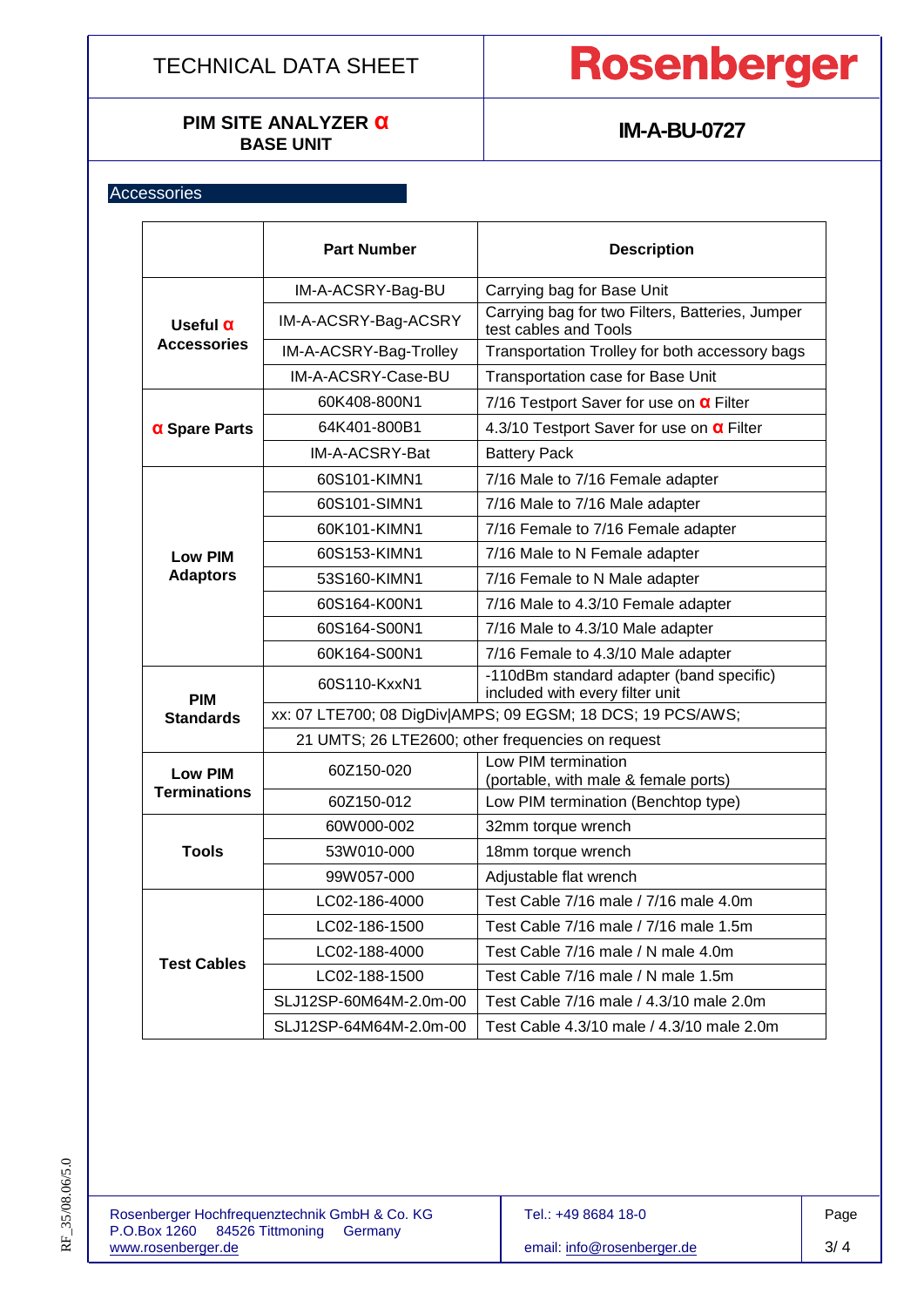# **PIM SITE ANALYZER α**

# Rosenberger

## **IM-A-BU-0727**

## **Accessories**

|                                       | <b>Part Number</b>                                          | <b>Description</b>                                                          |  |  |  |
|---------------------------------------|-------------------------------------------------------------|-----------------------------------------------------------------------------|--|--|--|
| Useful $\alpha$<br><b>Accessories</b> | IM-A-ACSRY-Bag-BU                                           | Carrying bag for Base Unit                                                  |  |  |  |
|                                       | IM-A-ACSRY-Bag-ACSRY                                        | Carrying bag for two Filters, Batteries, Jumper<br>test cables and Tools    |  |  |  |
|                                       | IM-A-ACSRY-Bag-Trolley                                      | Transportation Trolley for both accessory bags                              |  |  |  |
|                                       | IM-A-ACSRY-Case-BU                                          | Transportation case for Base Unit                                           |  |  |  |
| $\alpha$ Spare Parts                  | 60K408-800N1                                                | 7/16 Testport Saver for use on <b>a</b> Filter                              |  |  |  |
|                                       | 64K401-800B1                                                | 4.3/10 Testport Saver for use on <b>a</b> Filter                            |  |  |  |
|                                       | IM-A-ACSRY-Bat                                              | <b>Battery Pack</b>                                                         |  |  |  |
| <b>Low PIM</b>                        | 60S101-KIMN1                                                | 7/16 Male to 7/16 Female adapter                                            |  |  |  |
|                                       | 60S101-SIMN1                                                | 7/16 Male to 7/16 Male adapter                                              |  |  |  |
|                                       | 60K101-KIMN1                                                | 7/16 Female to 7/16 Female adapter                                          |  |  |  |
|                                       | 60S153-KIMN1                                                | 7/16 Male to N Female adapter                                               |  |  |  |
| <b>Adaptors</b>                       | 53S160-KIMN1                                                | 7/16 Female to N Male adapter                                               |  |  |  |
|                                       | 60S164-K00N1                                                | 7/16 Male to 4.3/10 Female adapter                                          |  |  |  |
|                                       | 60S164-S00N1                                                | 7/16 Male to 4.3/10 Male adapter                                            |  |  |  |
|                                       | 60K164-S00N1                                                | 7/16 Female to 4.3/10 Male adapter                                          |  |  |  |
| <b>PIM</b>                            | 60S110-KxxN1                                                | -110dBm standard adapter (band specific)<br>included with every filter unit |  |  |  |
| <b>Standards</b>                      | xx: 07 LTE700; 08 DigDiv AMPS; 09 EGSM; 18 DCS; 19 PCS/AWS; |                                                                             |  |  |  |
|                                       | 21 UMTS; 26 LTE2600; other frequencies on request           |                                                                             |  |  |  |
| <b>Low PIM</b><br><b>Terminations</b> | 60Z150-020                                                  | Low PIM termination<br>(portable, with male & female ports)                 |  |  |  |
|                                       | 60Z150-012                                                  | Low PIM termination (Benchtop type)                                         |  |  |  |
| <b>Tools</b>                          | 60W000-002                                                  | 32mm torque wrench                                                          |  |  |  |
|                                       | 53W010-000                                                  | 18mm torque wrench                                                          |  |  |  |
|                                       | 99W057-000                                                  | Adjustable flat wrench                                                      |  |  |  |
| <b>Test Cables</b>                    | LC02-186-4000                                               | Test Cable 7/16 male / 7/16 male 4.0m                                       |  |  |  |
|                                       | LC02-186-1500                                               | Test Cable 7/16 male / 7/16 male 1.5m                                       |  |  |  |
|                                       | LC02-188-4000                                               | Test Cable 7/16 male / N male 4.0m                                          |  |  |  |
|                                       | LC02-188-1500                                               | Test Cable 7/16 male / N male 1.5m                                          |  |  |  |
|                                       | SLJ12SP-60M64M-2.0m-00                                      | Test Cable 7/16 male / 4.3/10 male 2.0m                                     |  |  |  |
|                                       | SLJ12SP-64M64M-2.0m-00                                      | Test Cable 4.3/10 male / 4.3/10 male 2.0m                                   |  |  |  |